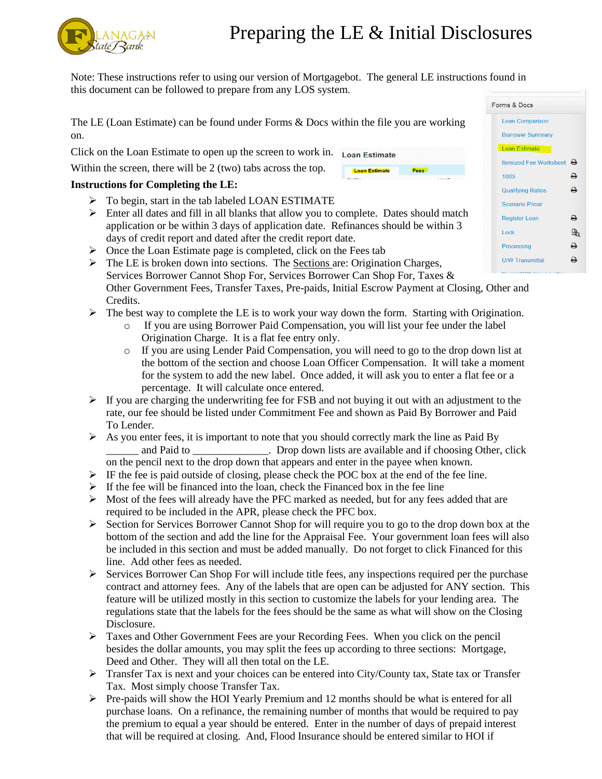## Preparing the LE & Initial Disclosures

**Loan Estimate** 

Note: These instructions refer to using our version of Mortgagebot. The general LE instructions found in this document can be followed to prepare from any LOS system.

The LE (Loan Estimate) can be found under Forms & Docs within the file you are working on.

Click on the Loan Estimate to open up the screen to work in. Loan Estimate

Within the screen, there will be 2 (two) tabs across the top.

## **Instructions for Completing the LE:**

- $\triangleright$  To begin, start in the tab labeled LOAN ESTIMATE
- $\triangleright$  Enter all dates and fill in all blanks that allow you to complete. Dates should match application or be within 3 days of application date. Refinances should be within 3 days of credit report and dated after the credit report date.
- $\triangleright$  Once the Loan Estimate page is completed, click on the Fees tab
- $\triangleright$  The LE is broken down into sections. The Sections are: Origination Charges, Services Borrower Cannot Shop For, Services Borrower Can Shop For, Taxes & Other Government Fees, Transfer Taxes, Pre-paids, Initial Escrow Payment at Closing, Other and Credits.
- $\triangleright$  The best way to complete the LE is to work your way down the form. Starting with Origination.
	- o If you are using Borrower Paid Compensation, you will list your fee under the label Origination Charge. It is a flat fee entry only.
	- o If you are using Lender Paid Compensation, you will need to go to the drop down list at the bottom of the section and choose Loan Officer Compensation. It will take a moment for the system to add the new label. Once added, it will ask you to enter a flat fee or a percentage. It will calculate once entered.
- $\triangleright$  If you are charging the underwriting fee for FSB and not buying it out with an adjustment to the rate, our fee should be listed under Commitment Fee and shown as Paid By Borrower and Paid To Lender.
- $\triangleright$  As you enter fees, it is important to note that you should correctly mark the line as Paid By and Paid to \_\_\_\_\_\_\_\_\_\_\_\_\_. Drop down lists are available and if choosing Other, click on the pencil next to the drop down that appears and enter in the payee when known.
- $\triangleright$  IF the fee is paid outside of closing, please check the POC box at the end of the fee line.
- $\triangleright$  If the fee will be financed into the loan, check the Financed box in the fee line
- $\triangleright$  Most of the fees will already have the PFC marked as needed, but for any fees added that are required to be included in the APR, please check the PFC box.
- $\triangleright$  Section for Services Borrower Cannot Shop for will require you to go to the drop down box at the bottom of the section and add the line for the Appraisal Fee. Your government loan fees will also be included in this section and must be added manually. Do not forget to click Financed for this line. Add other fees as needed.
- $\triangleright$  Services Borrower Can Shop For will include title fees, any inspections required per the purchase contract and attorney fees. Any of the labels that are open can be adjusted for ANY section. This feature will be utilized mostly in this section to customize the labels for your lending area. The regulations state that the labels for the fees should be the same as what will show on the Closing Disclosure.
- $\triangleright$  Taxes and Other Government Fees are your Recording Fees. When you click on the pencil besides the dollar amounts, you may split the fees up according to three sections: Mortgage, Deed and Other. They will all then total on the LE.
- Transfer Tax is next and your choices can be entered into City/County tax, State tax or Transfer Tax. Most simply choose Transfer Tax.
- $\triangleright$  Pre-paids will show the HOI Yearly Premium and 12 months should be what is entered for all purchase loans. On a refinance, the remaining number of months that would be required to pay the premium to equal a year should be entered. Enter in the number of days of prepaid interest that will be required at closing. And, Flood Insurance should be entered similar to HOI if

| orms & Docs |                               |   |
|-------------|-------------------------------|---|
|             | <b>Loan Comparison</b>        |   |
|             | <b>Borrower Summary</b>       |   |
|             | <b>Loan Estimate</b>          |   |
|             | <b>Itemized Fee Worksheet</b> | ∸ |
|             | 1003                          | ₽ |
|             | <b>Qualifying Ratios</b>      | д |
|             | <b>Scenario Pricer</b>        |   |
|             | <b>Register Loan</b>          | ≏ |
|             | Lock                          |   |
|             | Processing                    | д |
|             | <b>U/W Transmittal</b>        |   |
|             |                               |   |